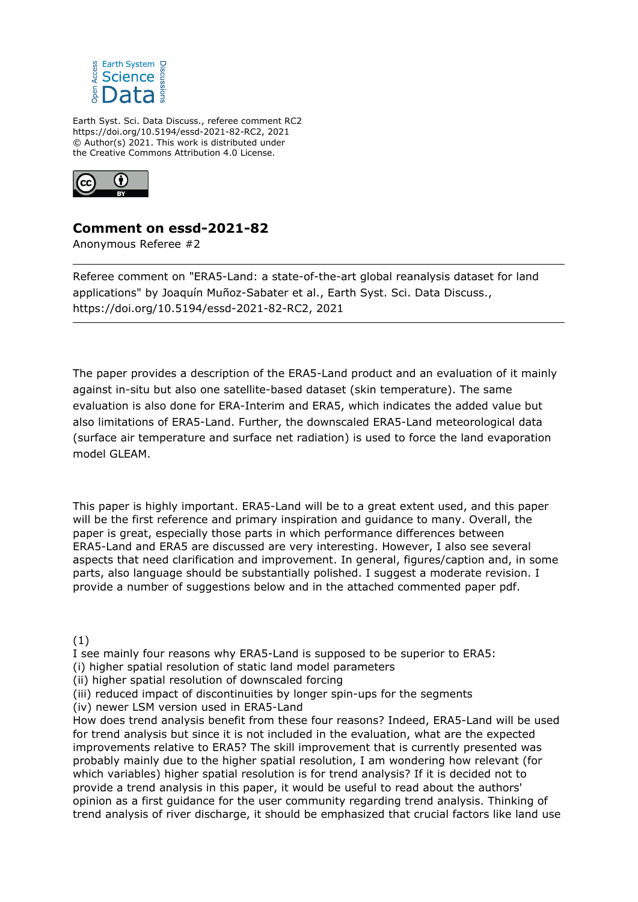

Earth Syst. Sci. Data Discuss., referee comment RC2 https://doi.org/10.5194/essd-2021-82-RC2, 2021 © Author(s) 2021. This work is distributed under the Creative Commons Attribution 4.0 License.



# **Comment on essd-2021-82**

Anonymous Referee #2

Referee comment on "ERA5-Land: a state-of-the-art global reanalysis dataset for land applications" by Joaquín Muñoz-Sabater et al., Earth Syst. Sci. Data Discuss., https://doi.org/10.5194/essd-2021-82-RC2, 2021

The paper provides a description of the ERA5-Land product and an evaluation of it mainly against in-situ but also one satellite-based dataset (skin temperature). The same evaluation is also done for ERA-Interim and ERA5, which indicates the added value but also limitations of ERA5-Land. Further, the downscaled ERA5-Land meteorological data (surface air temperature and surface net radiation) is used to force the land evaporation model GLEAM.

This paper is highly important. ERA5-Land will be to a great extent used, and this paper will be the first reference and primary inspiration and guidance to many. Overall, the paper is great, especially those parts in which performance differences between ERA5-Land and ERA5 are discussed are very interesting. However, I also see several aspects that need clarification and improvement. In general, figures/caption and, in some parts, also language should be substantially polished. I suggest a moderate revision. I provide a number of suggestions below and in the attached commented paper pdf.

(1)

I see mainly four reasons why ERA5-Land is supposed to be superior to ERA5:

- (i) higher spatial resolution of static land model parameters
- (ii) higher spatial resolution of downscaled forcing

(iii) reduced impact of discontinuities by longer spin-ups for the segments

(iv) newer LSM version used in ERA5-Land

How does trend analysis benefit from these four reasons? Indeed, ERA5-Land will be used for trend analysis but since it is not included in the evaluation, what are the expected improvements relative to ERA5? The skill improvement that is currently presented was probably mainly due to the higher spatial resolution, I am wondering how relevant (for which variables) higher spatial resolution is for trend analysis? If it is decided not to provide a trend analysis in this paper, it would be useful to read about the authors' opinion as a first guidance for the user community regarding trend analysis. Thinking of trend analysis of river discharge, it should be emphasized that crucial factors like land use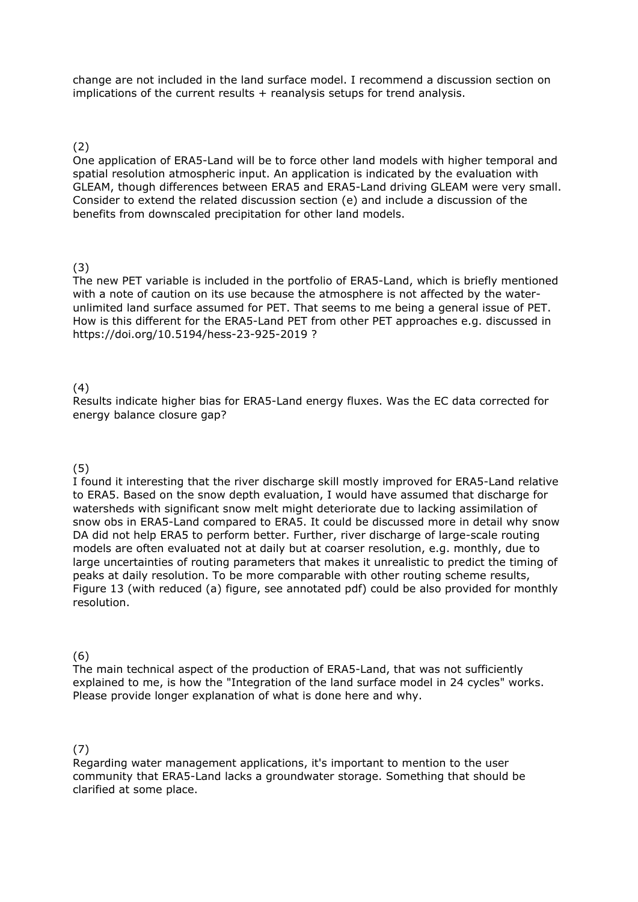change are not included in the land surface model. I recommend a discussion section on implications of the current results + reanalysis setups for trend analysis.

#### (2)

One application of ERA5-Land will be to force other land models with higher temporal and spatial resolution atmospheric input. An application is indicated by the evaluation with GLEAM, though differences between ERA5 and ERA5-Land driving GLEAM were very small. Consider to extend the related discussion section (e) and include a discussion of the benefits from downscaled precipitation for other land models.

### (3)

The new PET variable is included in the portfolio of ERA5-Land, which is briefly mentioned with a note of caution on its use because the atmosphere is not affected by the waterunlimited land surface assumed for PET. That seems to me being a general issue of PET. How is this different for the ERA5-Land PET from other PET approaches e.g. discussed in https://doi.org/10.5194/hess-23-925-2019 ?

#### (4)

Results indicate higher bias for ERA5-Land energy fluxes. Was the EC data corrected for energy balance closure gap?

## (5)

I found it interesting that the river discharge skill mostly improved for ERA5-Land relative to ERA5. Based on the snow depth evaluation, I would have assumed that discharge for watersheds with significant snow melt might deteriorate due to lacking assimilation of snow obs in ERA5-Land compared to ERA5. It could be discussed more in detail why snow DA did not help ERA5 to perform better. Further, river discharge of large-scale routing models are often evaluated not at daily but at coarser resolution, e.g. monthly, due to large uncertainties of routing parameters that makes it unrealistic to predict the timing of peaks at daily resolution. To be more comparable with other routing scheme results, Figure 13 (with reduced (a) figure, see annotated pdf) could be also provided for monthly resolution.

#### (6)

The main technical aspect of the production of ERA5-Land, that was not sufficiently explained to me, is how the "Integration of the land surface model in 24 cycles" works. Please provide longer explanation of what is done here and why.

#### (7)

Regarding water management applications, it's important to mention to the user community that ERA5-Land lacks a groundwater storage. Something that should be clarified at some place.